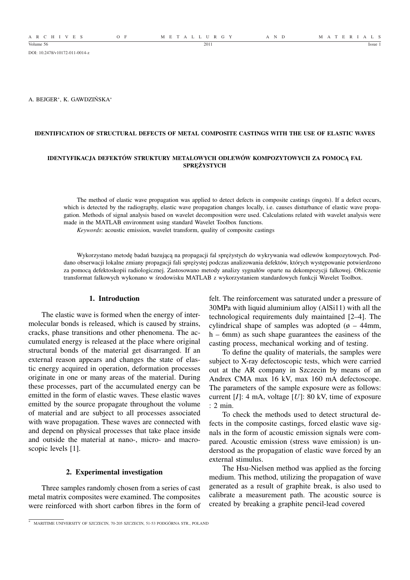DOI: 10.2478/v10172-011-0014-z

A. BEJGER<sup>∗</sup> , K. GAWDZIŃSKA<sup>∗</sup>

# **IDENTIFICATION OF STRUCTURAL DEFECTS OF METAL COMPOSITE CASTINGS WITH THE USE OF ELASTIC WAVES**

### **IDENTYFIKACJA DEFEKTÓW STRUKTURY METALOWYCH ODLEWÓW KOMPOZYTOWYCH ZA POMOCĄ FAL SPRĘŻYSTYCH**

The method of elastic wave propagation was applied to detect defects in composite castings (ingots). If a defect occurs, which is detected by the radiography, elastic wave propagation changes locally, i.e. causes disturbance of elastic wave propagation. Methods of signal analysis based on wavelet decomposition were used. Calculations related with wavelet analysis were made in the MATLAB environment using standard Wavelet Toolbox functions.

*Keywords*: acoustic emission, wavelet transform, quality of composite castings

Wykorzystano metodę badań bazującą na propagacji fal sprężystych do wykrywania wad odlewów kompozytowych. Poddano obserwacji lokalne zmiany propagacji fali sprężystej podczas analizowania defektów, których występowanie potwierdzono za pomocą defektoskopii radiologicznej. Zastosowano metody analizy sygnałów oparte na dekompozycji falkowej. Obliczenie transformat falkowych wykonano w środowisku MATLAB z wykorzystaniem standardowych funkcji Wavelet Toolbox.

## **1. Introduction**

The elastic wave is formed when the energy of intermolecular bonds is released, which is caused by strains, cracks, phase transitions and other phenomena. The accumulated energy is released at the place where original structural bonds of the material get disarranged. If an external reason appears and changes the state of elastic energy acquired in operation, deformation processes originate in one or many areas of the material. During these processes, part of the accumulated energy can be emitted in the form of elastic waves. These elastic waves emitted by the source propagate throughout the volume of material and are subject to all processes associated with wave propagation. These waves are connected with and depend on physical processes that take place inside and outside the material at nano-, micro- and macroscopic levels [1].

### **2. Experimental investigation**

Three samples randomly chosen from a series of cast metal matrix composites were examined. The composites were reinforced with short carbon fibres in the form of felt. The reinforcement was saturated under a pressure of 30MPa with liquid aluminium alloy (AlSi11) with all the technological requirements duly maintained [2–4]. The cylindrical shape of samples was adopted  $(6 - 44$ mm, h – 6mm) as such shape guarantees the easiness of the casting process, mechanical working and of testing.

To define the quality of materials, the samples were subject to X-ray defectoscopic tests, which were carried out at the AR company in Szczecin by means of an Andrex CMA max 16 kV, max 160 mA defectoscope. The parameters of the sample exposure were as follows: current [*I*]: 4 mA, voltage [*U*]: 80 kV, time of exposure : 2 min.

To check the methods used to detect structural defects in the composite castings, forced elastic wave signals in the form of acoustic emission signals were compared. Acoustic emission (stress wave emission) is understood as the propagation of elastic wave forced by an external stimulus.

The Hsu-Nielsen method was applied as the forcing medium. This method, utilizing the propagation of wave generated as a result of graphite break, is also used to calibrate a measurement path. The acoustic source is created by breaking a graphite pencil-lead covered

<sup>∗</sup> MARITIME UNIVERSITY OF SZCZECIN, 70-205 SZCZECIN, 51-53 PODGÓRNA STR., POLAND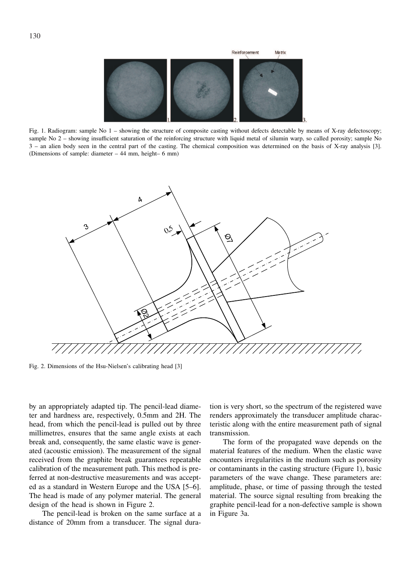

Fig. 1. Radiogram: sample No 1 – showing the structure of composite casting without defects detectable by means of X-ray defectoscopy; sample No 2 – showing insufficient saturation of the reinforcing structure with liquid metal of silumin warp, so called porosity; sample No 3 – an alien body seen in the central part of the casting. The chemical composition was determined on the basis of X-ray analysis [3]. (Dimensions of sample: diameter – 44 mm, height– 6 mm)



Fig. 2. Dimensions of the Hsu-Nielsen's calibrating head [3]

by an appropriately adapted tip. The pencil-lead diameter and hardness are, respectively, 0.5mm and 2H. The head, from which the pencil-lead is pulled out by three millimetres, ensures that the same angle exists at each break and, consequently, the same elastic wave is generated (acoustic emission). The measurement of the signal received from the graphite break guarantees repeatable calibration of the measurement path. This method is preferred at non-destructive measurements and was accepted as a standard in Western Europe and the USA [5–6]. The head is made of any polymer material. The general design of the head is shown in Figure 2.

The pencil-lead is broken on the same surface at a distance of 20mm from a transducer. The signal dura-

tion is very short, so the spectrum of the registered wave renders approximately the transducer amplitude characteristic along with the entire measurement path of signal transmission.

The form of the propagated wave depends on the material features of the medium. When the elastic wave encounters irregularities in the medium such as porosity or contaminants in the casting structure (Figure 1), basic parameters of the wave change. These parameters are: amplitude, phase, or time of passing through the tested material. The source signal resulting from breaking the graphite pencil-lead for a non-defective sample is shown in Figure 3a.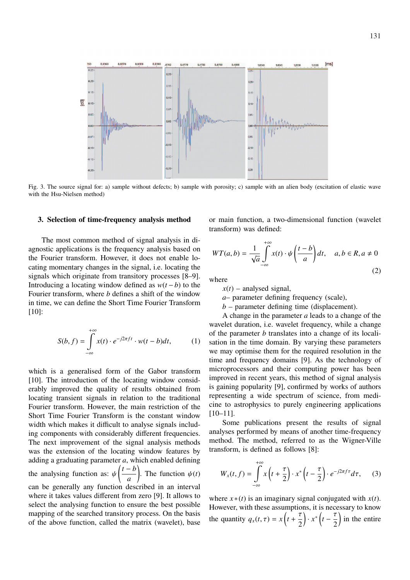

Fig. 3. The source signal for: a) sample without defects; b) sample with porosity; c) sample with an alien body (excitation of elastic wave with the Hsu-Nielsen method)

#### **3. Selection of time-frequency analysis method**

The most common method of signal analysis in diagnostic applications is the frequency analysis based on the Fourier transform. However, it does not enable locating momentary changes in the signal, i.e. locating the signals which originate from transitory processes [8–9]. Introducing a locating window defined as  $w(t - b)$  to the Fourier transform, where *b* defines a shift of the window in time, we can define the Short Time Fourier Transform [10]:

$$
S(b,f) = \int_{-\infty}^{+\infty} x(t) \cdot e^{-j2\pi ft} \cdot w(t-b)dt,
$$
 (1)

which is a generalised form of the Gabor transform [10]. The introduction of the locating window considerably improved the quality of results obtained from locating transient signals in relation to the traditional Fourier transform. However, the main restriction of the Short Time Fourier Transform is the constant window width which makes it difficult to analyse signals including components with considerably different frequencies. The next improvement of the signal analysis methods was the extension of the locating window features by adding a graduating parameter  $a$ , which enabled defining the analysing function as:  $\psi\left(\frac{t-b}{t}\right)$  $\frac{\partial}{\partial a}$ . The function  $\psi(t)$ can be generally any function described in an interval where it takes values different from zero [9]. It allows to select the analysing function to ensure the best possible mapping of the searched transitory process. On the basis of the above function, called the matrix (wavelet), base or main function, a two-dimensional function (wavelet transform) was defined:

$$
WT(a,b) = \frac{1}{\sqrt{a}} \int_{-\infty}^{+\infty} x(t) \cdot \psi\left(\frac{t-b}{a}\right) dt, \quad a, b \in R, a \neq 0
$$
\n(2)

where

 $x(t)$  – analysed signal,

*a*– parameter defining frequency (scale),

 $b$  – parameter defining time (displacement).

A change in the parameter *a* leads to a change of the wavelet duration, i.e. wavelet frequency, while a change of the parameter *b* translates into a change of its localisation in the time domain. By varying these parameters we may optimise them for the required resolution in the time and frequency domains [9]. As the technology of microprocessors and their computing power has been improved in recent years, this method of signal analysis is gaining popularity [9], confirmed by works of authors representing a wide spectrum of science, from medicine to astrophysics to purely engineering applications [10–11].

Some publications present the results of signal analyses performed by means of another time-frequency method. The method, referred to as the Wigner-Ville transform, is defined as follows [8]:

$$
W_x(t,f) = \int_{-\infty}^{+\infty} x\left(t + \frac{\tau}{2}\right) \cdot x^* \left(t - \frac{\tau}{2}\right) \cdot e^{-j2\pi f \tau} d\tau, \quad (3)
$$

where  $x * (t)$  is an imaginary signal conjugated with  $x(t)$ . However, with these assumptions, it is necessary to know the quantity  $q_x(t, \tau) = x \left(t + \frac{\tau}{2}\right)$  $\left(\frac{\tau}{2}\right) \cdot x^* \left(t - \frac{\tau}{2}\right)$  $\frac{1}{2}$  in the entire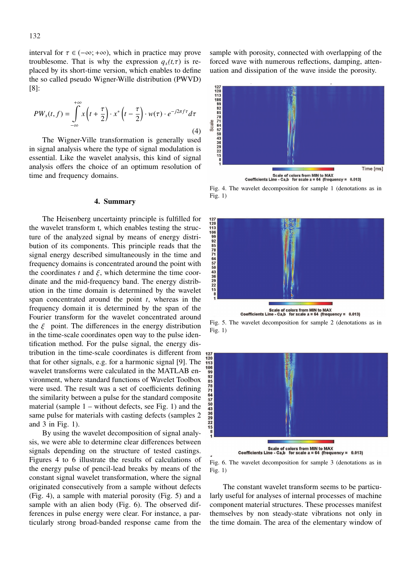interval for  $\tau \in (-\infty; +\infty)$ , which in practice may prove troublesome. That is why the expression  $q_x(t,\tau)$  is replaced by its short-time version, which enables to define the so called pseudo Wigner-Wille distribution (PWVD) [8]:

$$
PW_x(t,f) = \int_{-\infty}^{+\infty} x\left(t + \frac{\tau}{2}\right) \cdot x^* \left(t - \frac{\tau}{2}\right) \cdot w(\tau) \cdot e^{-j2\pi f \tau} d\tau
$$
\n(4)

The Wigner-Ville transformation is generally used in signal analysis where the type of signal modulation is essential. Like the wavelet analysis, this kind of signal analysis offers the choice of an optimum resolution of time and frequency domains.

### **4. Summary**

The Heisenberg uncertainty principle is fulfilled for the wavelet transform t, which enables testing the structure of the analyzed signal by means of energy distribution of its components. This principle reads that the signal energy described simultaneously in the time and frequency domains is concentrated around the point with the coordinates  $t$  and  $\xi$ , which determine the time coordinate and the mid-frequency band. The energy distribution in the time domain is determined by the wavelet span concentrated around the point *t*, whereas in the frequency domain it is determined by the span of the Fourier transform for the wavelet concentrated around the  $\xi$  point. The differences in the energy distribution in the time-scale coordinates open way to the pulse identification method. For the pulse signal, the energy distribution in the time-scale coordinates is different from that for other signals, e.g. for a harmonic signal [9]. The wavelet transforms were calculated in the MATLAB environment, where standard functions of Wavelet Toolbox were used. The result was a set of coefficients defining the similarity between a pulse for the standard composite material (sample 1 – without defects, see Fig. 1) and the same pulse for materials with casting defects (samples 2 and 3 in Fig. 1).

By using the wavelet decomposition of signal analysis, we were able to determine clear differences between signals depending on the structure of tested castings. Figures 4 to 6 illustrate the results of calculations of the energy pulse of pencil-lead breaks by means of the constant signal wavelet transformation, where the signal originated consecutively from a sample without defects (Fig. 4), a sample with material porosity (Fig. 5) and a sample with an alien body (Fig. 6). The observed differences in pulse energy were clear. For instance, a particularly strong broad-banded response came from the

sample with porosity, connected with overlapping of the forced wave with numerous reflections, damping, attenuation and dissipation of the wave inside the porosity.



Fig. 4. The wavelet decomposition for sample 1 (denotations as in Fig. 1)







Fig. 6. The wavelet decomposition for sample 3 (denotations as in Fig. 1)

The constant wavelet transform seems to be particularly useful for analyses of internal processes of machine component material structures. These processes manifest themselves by non steady-state vibrations not only in the time domain. The area of the elementary window of